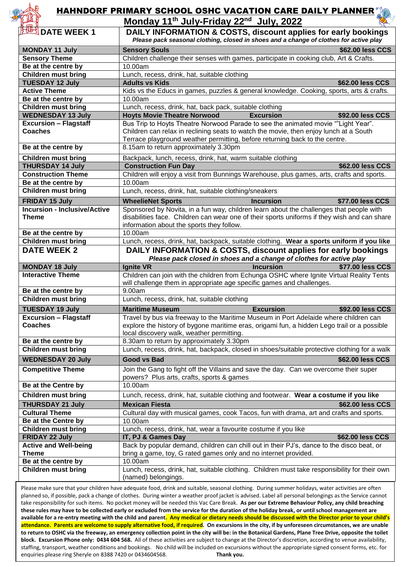

## HAHNDORF PRIMARY SCHOOL OSHC VACATION CARE DAILY PLANNER

| <b>FTR 8</b>                                   | Monday 11 <sup>th</sup> July-Friday 22 <sup>nd</sup> July, 2022                                                                                                                     |
|------------------------------------------------|-------------------------------------------------------------------------------------------------------------------------------------------------------------------------------------|
| <b>BUSIDATE WEEK 1</b>                         | DAILY INFORMATION & COSTS, discount applies for early bookings                                                                                                                      |
|                                                | Please pack seasonal clothing, closed in shoes and a change of clothes for active play                                                                                              |
| <b>MONDAY 11 July</b>                          | \$62.00 less CCS<br><b>Sensory Souls</b>                                                                                                                                            |
| <b>Sensory Theme</b>                           | Children challenge their senses with games, participate in cooking club, Art & Crafts.                                                                                              |
| Be at the centre by                            | 10.00am                                                                                                                                                                             |
| <b>Children must bring</b>                     | Lunch, recess, drink, hat, suitable clothing                                                                                                                                        |
| <b>TUESDAY 12 July</b>                         | <b>Adults vs Kids</b><br>\$62.00 less CCS                                                                                                                                           |
| <b>Active Theme</b>                            | Kids vs the Educs in games, puzzles & general knowledge. Cooking, sports, arts & crafts.                                                                                            |
| Be at the centre by                            | 10.00am                                                                                                                                                                             |
| <b>Children must bring</b>                     | Lunch, recess, drink, hat, back pack, suitable clothing                                                                                                                             |
| <b>WEDNESDAY 13 July</b>                       | <b>Hoyts Movie Theatre Norwood</b><br><b>Excursion</b><br>\$92.00 less CCS                                                                                                          |
| <b>Excursion - Flagstaff</b>                   | Bus Trip to Hoyts Theatre Norwood Parade to see the animated movie ""Light Year".                                                                                                   |
| <b>Coaches</b>                                 | Children can relax in reclining seats to watch the movie, then enjoy lunch at a South                                                                                               |
|                                                | Terrace playground weather permitting, before returning back to the centre.                                                                                                         |
| Be at the centre by                            | 8.15am to return approximately 3.30pm                                                                                                                                               |
| <b>Children must bring</b>                     | Backpack, lunch, recess, drink, hat, warm suitable clothing                                                                                                                         |
| <b>THURSDAY 14 July</b>                        | \$62.00 less CCS<br><b>Construction Fun Day</b>                                                                                                                                     |
| <b>Construction Theme</b>                      | Children will enjoy a visit from Bunnings Warehouse, plus games, arts, crafts and sports.                                                                                           |
| Be at the centre by                            | 10.00am                                                                                                                                                                             |
| <b>Children must bring</b>                     | Lunch, recess, drink, hat, suitable clothing/sneakers                                                                                                                               |
| <b>FRIDAY 15 July</b>                          | <b>WheelieNet Sports</b><br><b>Incursion</b><br>\$77.00 less CCS                                                                                                                    |
| <b>Incursion - Inclusive/Active</b>            | Sponsored by Novita, in a fun way, children learn about the challenges that people with                                                                                             |
| <b>Theme</b>                                   | disabilities face. Children can wear one of their sports uniforms if they wish and can share                                                                                        |
|                                                | information about the sports they follow.                                                                                                                                           |
| Be at the centre by                            | 10.00am                                                                                                                                                                             |
| <b>Children must bring</b>                     | Lunch, recess, drink, hat, backpack, suitable clothing. Wear a sports uniform if you like                                                                                           |
| <b>DATE WEEK 2</b>                             | DAILY INFORMATION & COSTS, discount applies for early bookings                                                                                                                      |
|                                                |                                                                                                                                                                                     |
|                                                | Please pack closed in shoes and a change of clothes for active play                                                                                                                 |
| <b>MONDAY 18 July</b>                          | <b>Ignite VR</b><br><b>Incursion</b><br>\$77.00 less CCS                                                                                                                            |
| <b>Interactive Theme</b>                       | Children can join with the children from Echunga OSHC where Ignite Virtual Reality Tents                                                                                            |
| Be at the centre by                            | will challenge them in appropriate age specific games and challenges.<br>9.00am                                                                                                     |
| <b>Children must bring</b>                     | Lunch, recess, drink, hat, suitable clothing                                                                                                                                        |
|                                                |                                                                                                                                                                                     |
| <b>TUESDAY 19 July</b>                         | <b>Excursion</b><br><b>Maritime Museum</b><br>\$92.00 less CCS                                                                                                                      |
| <b>Excursion - Flagstaff</b><br><b>Coaches</b> | Travel by bus via freeway to the Maritime Museum in Port Adelaide where children can<br>explore the history of bygone maritime eras, origami fun, a hidden Lego trail or a possible |
|                                                | local discovery walk, weather permitting.                                                                                                                                           |
| Be at the centre by                            | 8.30am to return by approximately 3.30pm                                                                                                                                            |
| <b>Children must bring</b>                     | Lunch, recess, drink, hat, backpack, closed in shoes/suitable protective clothing for a walk                                                                                        |
| <b>WEDNESDAY 20 July</b>                       | <b>Good vs Bad</b><br>\$62.00 less CCS                                                                                                                                              |
| <b>Competitive Theme</b>                       | Join the Gang to fight off the Villains and save the day. Can we overcome their super                                                                                               |
|                                                | powers? Plus arts, crafts, sports & games                                                                                                                                           |
| Be at the Centre by                            | 10.00am                                                                                                                                                                             |
| <b>Children must bring</b>                     | Lunch, recess, drink, hat, suitable clothing and footwear. Wear a costume if you like                                                                                               |
| <b>THURSDAY 21 July</b>                        | <b>Mexican Fiesta</b><br>\$62.00 less CCS                                                                                                                                           |
| <b>Cultural Theme</b>                          | Cultural day with musical games, cook Tacos, fun with drama, art and crafts and sports.                                                                                             |
| Be at the Centre by                            | 10.00am                                                                                                                                                                             |
| <b>Children must bring</b>                     | Lunch, recess, drink, hat, wear a favourite costume if you like                                                                                                                     |
| <b>FRIDAY 22 July</b>                          | IT, PJ & Games Day<br>\$62.00 less CCS                                                                                                                                              |
| <b>Active and Well-being</b>                   | Back by popular demand, children can chill out in their PJ's, dance to the disco beat, or                                                                                           |
| <b>Theme</b>                                   | bring a game, toy, G rated games only and no internet provided.                                                                                                                     |
| Be at the centre by                            | 10.00am                                                                                                                                                                             |
| <b>Children must bring</b>                     | Lunch, recess, drink, hat, suitable clothing. Children must take responsibility for their own<br>(named) belongings.                                                                |

Please make sure that your children have adequate food, drink and suitable, seasonal clothing. During summer holidays, water activities are often planned so, if possible, pack a change of clothes. During winter a weather proof jacket is advised. Label all personal belongings as the Service cannot take responsibility for such items. No pocket money will be needed this Vac Care Break. **As per our Extreme Behaviour Policy, any child breaching these rules may have to be collected early or excluded from the service for the duration of the holiday break, or until school management are available for a re-entry meeting with the child and parent. Any medical or dietary needs should be discussed with the Director prior to your child's attendance. Parents are welcome to supply alternative food, if required. On excursions in the city, if by unforeseen circumstances, we are unable to return to OSHC via the freeway, an emergency collection point in the city will be: in the Botanical Gardens, Plane Tree Drive, opposite the toilet block. Excursion Phone only: 0434 604 568.** All of these activities are subject to change at the Director's discretion, according to venue availability, staffing, transport, weather conditions and bookings. No child will be included on excursions without the appropriate signed consent forms, etc. for enquiries please ring Sheryle on 8388 7420 or 0434604568. **Thank you.**